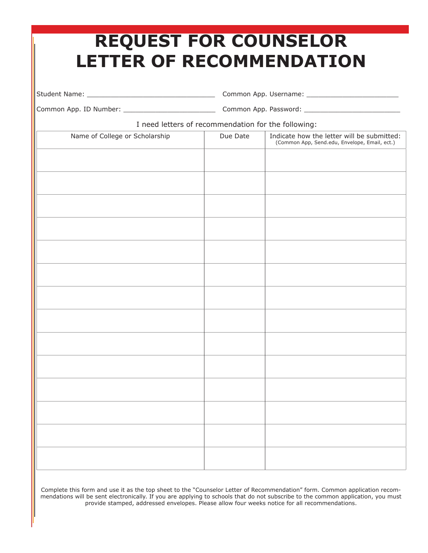| <b>REQUEST FOR COUNSELOR</b><br><b>LETTER OF RECOMMENDATION</b> |          |                                                                                             |
|-----------------------------------------------------------------|----------|---------------------------------------------------------------------------------------------|
|                                                                 |          |                                                                                             |
|                                                                 |          |                                                                                             |
| I need letters of recommendation for the following:             |          |                                                                                             |
| Name of College or Scholarship                                  | Due Date | Indicate how the letter will be submitted:<br>(Common App, Send.edu, Envelope, Email, ect.) |
|                                                                 |          |                                                                                             |
|                                                                 |          |                                                                                             |
|                                                                 |          |                                                                                             |
|                                                                 |          |                                                                                             |
|                                                                 |          |                                                                                             |
|                                                                 |          |                                                                                             |
|                                                                 |          |                                                                                             |
|                                                                 |          |                                                                                             |
|                                                                 |          |                                                                                             |
|                                                                 |          |                                                                                             |
|                                                                 |          |                                                                                             |
|                                                                 |          |                                                                                             |
|                                                                 |          |                                                                                             |
|                                                                 |          |                                                                                             |

Complete this form and use it as the top sheet to the "Counselor Letter of Recommendation" form. Common application recommendations will be sent electronically. If you are applying to schools that do not subscribe to the common application, you must provide stamped, addressed envelopes. Please allow four weeks notice for all recommendations.